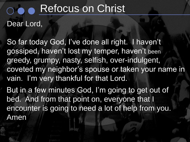#### Dear Lord,

So far today God, I've done all right. I haven't gossiped, haven't lost my temper, haven't been greedy, grumpy, nasty, selfish, over-indulgent, coveted my neighbor's spouse or taken your name in vain. I'm very thankful for that Lord.

But in a few minutes God, I'm going to get out of bed. And from that point on, everyone that I encounter is going to need a lot of help from you. Amen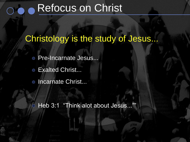#### Christology is the study of Jesus...

- Pre-Incarnate Jesus...
- Exalted Christ...  $\bigcirc$
- o Incarnate Christ...

Heb 3:1 "Think alot about Jesus...""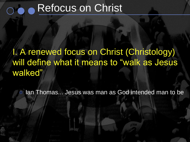### I. A renewed focus on Christ (Christology) will define what it means to "walk as Jesus walked"

Ian Thomas... Jesus was man as God intended man to be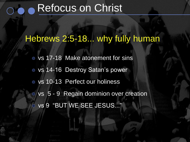#### Hebrews 2:5-18... why fully human

vs 17-18 Make atonement for sins o vs 14-16 Destroy Satan's power ○ vs 10-13 Perfect our holiness ○ vs 5 - 9 Regain dominion over creation vs 9 "BUT WE SEE JESUS..."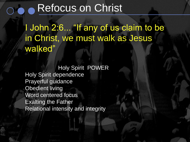I John 2:6... "If any of us claim to be in Christ, we must walk as Jesus walked"

Holy Spirit POWER Holy Spirit dependence Prayerful guidance Obedient living Word centered focus Exalting the Father Relational intensity and integrity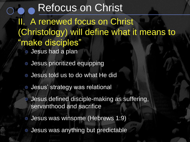II. A renewed focus on Christ (Christology) will define what it means to "make disciples" Jesus had a plan Refocus on Christ

- 
- Jesus prioritized equipping
- Jesus told us to do what He did
- Jesus' strategy was relational
- Jesus defined disciple-making as suffering, servanthood and sacrifice
- Jesus was winsome (Hebrews 1:9)
- Jesus was anything but predictable